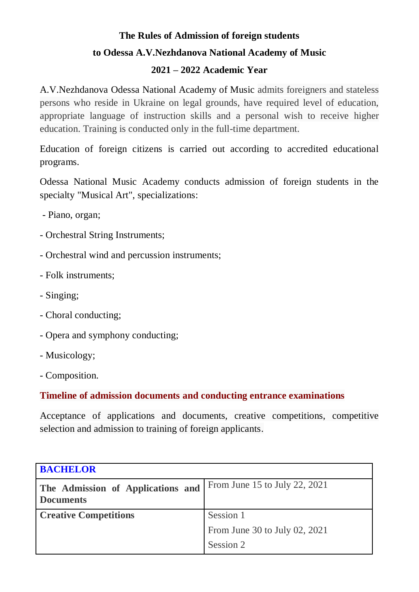## **The Rules of Admission of foreign students to Odessa A.V.Nezhdanova National Academy of Music**

## **2021 – 2022 Academic Year**

A.V.Nezhdanova Odessa National Academy of Music admits foreigners and stateless persons who reside in Ukraine on legal grounds, have required level of education, appropriate language of instruction skills and a personal wish to receive higher education. Training is conducted only in the full-time department.

Education of foreign citizens is carried out according to accredited educational programs.

Odessa National Music Academy conducts admission of foreign students in the specialty "Musical Art", specializations:

- Piano, organ;

- Orchestral String Instruments;
- Orchestral wind and percussion instruments;
- Folk instruments;
- Singing;
- Choral conducting;
- Opera and symphony conducting;
- Musicology;
- Composition.

**Timeline of admission documents and conducting entrance examinations**

Acceptance of applications and documents, creative competitions, competitive selection and admission to training of foreign applicants.

| <b>BACHELOR</b>                                       |                               |
|-------------------------------------------------------|-------------------------------|
| The Admission of Applications and<br><b>Documents</b> | From June 15 to July 22, 2021 |
| <b>Creative Competitions</b>                          | Session 1                     |
|                                                       | From June 30 to July 02, 2021 |
|                                                       | Session 2                     |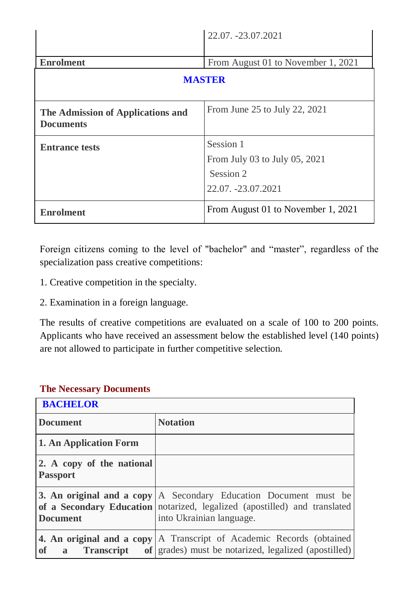|                                                       | 22.07. -23.07.2021                 |  |
|-------------------------------------------------------|------------------------------------|--|
|                                                       |                                    |  |
| <b>Enrolment</b>                                      | From August 01 to November 1, 2021 |  |
| <b>MASTER</b>                                         |                                    |  |
| The Admission of Applications and<br><b>Documents</b> | From June 25 to July 22, 2021      |  |
| <b>Entrance tests</b>                                 | Session 1                          |  |
|                                                       | From July 03 to July 05, 2021      |  |
|                                                       | Session 2                          |  |
|                                                       | 22.07. -23.07.2021                 |  |
| <b>Enrolment</b>                                      | From August 01 to November 1, 2021 |  |

Foreign citizens coming to the level of "bachelor" and "master", regardless of the specialization pass creative competitions:

- 1. Creative competition in the specialty.
- 2. Examination in a foreign language.

The results of creative competitions are evaluated on a scale of 100 to 200 points. Applicants who have received an assessment below the established level (140 points) are not allowed to participate in further competitive selection.

| <b>BACHELOR</b>                                |                                                                                                                                                                                  |
|------------------------------------------------|----------------------------------------------------------------------------------------------------------------------------------------------------------------------------------|
| <b>Document</b>                                | <b>Notation</b>                                                                                                                                                                  |
| 1. An Application Form                         |                                                                                                                                                                                  |
| 2. A copy of the national<br><b>Passport</b>   |                                                                                                                                                                                  |
| <b>Document</b>                                | <b>3. An original and a copy</b> A Secondary Education Document must be<br>of a Secondary Education notarized, legalized (apostilled) and translated<br>into Ukrainian language. |
| <b>of</b><br><b>Transcript</b><br>$\mathbf{a}$ | <b>4. An original and a copy</b> A Transcript of Academic Records (obtained<br>of grades) must be notarized, legalized (apostilled)                                              |

## **The Necessary Documents**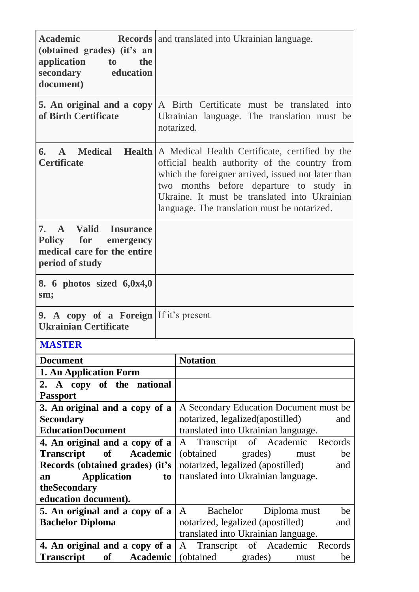| <b>Academic</b><br>(obtained grades) (it's an<br>application<br>to to<br>the<br>secondary education<br>document) | <b>Records</b> and translated into Ukrainian language.                                                                                                                                                                                                                                                     |
|------------------------------------------------------------------------------------------------------------------|------------------------------------------------------------------------------------------------------------------------------------------------------------------------------------------------------------------------------------------------------------------------------------------------------------|
| 5. An original and a copy<br>of Birth Certificate                                                                | A Birth Certificate must be translated into<br>Ukrainian language. The translation must be<br>notarized.                                                                                                                                                                                                   |
| <b>A</b> Medical<br>6.<br><b>Certificate</b>                                                                     | Health   A Medical Health Certificate, certified by the<br>official health authority of the country from<br>which the foreigner arrived, issued not later than<br>two months before departure to study in<br>Ukraine. It must be translated into Ukrainian<br>language. The translation must be notarized. |
| A Valid<br>7.<br><b>Insurance</b><br>Policy for<br>emergency<br>medical care for the entire<br>period of study   |                                                                                                                                                                                                                                                                                                            |
| 8. 6 photos sized 6,0x4,0<br>sm;                                                                                 |                                                                                                                                                                                                                                                                                                            |
| 9. A copy of a Foreign If it's present<br><b>Ukrainian Certificate</b>                                           |                                                                                                                                                                                                                                                                                                            |
| <b>MASTER</b>                                                                                                    |                                                                                                                                                                                                                                                                                                            |
| <b>Document</b>                                                                                                  | <b>Notation</b>                                                                                                                                                                                                                                                                                            |
| 1. An Application Form                                                                                           |                                                                                                                                                                                                                                                                                                            |
| 2. A copy of the<br>national                                                                                     |                                                                                                                                                                                                                                                                                                            |
| <b>Passport</b>                                                                                                  |                                                                                                                                                                                                                                                                                                            |
| 3. An original and a copy of a<br><b>Secondary</b>                                                               | A Secondary Education Document must be<br>notarized, legalized(apostilled)<br>and                                                                                                                                                                                                                          |
| <b>EducationDocument</b>                                                                                         | translated into Ukrainian language.                                                                                                                                                                                                                                                                        |
| 4. An original and a copy of a                                                                                   | Transcript of Academic Records<br>A                                                                                                                                                                                                                                                                        |
| <b>Transcript</b><br>of<br>Academic                                                                              | (obtained)<br>grades)<br>be<br>must                                                                                                                                                                                                                                                                        |
| Records (obtained grades) (it's                                                                                  | notarized, legalized (apostilled)<br>and                                                                                                                                                                                                                                                                   |
| <b>Application</b><br>an                                                                                         | translated into Ukrainian language.<br>t <sub>o</sub>                                                                                                                                                                                                                                                      |
| theSecondary<br>education document).                                                                             |                                                                                                                                                                                                                                                                                                            |
| 5. An original and a copy of a                                                                                   | <b>Bachelor</b><br>Diploma must<br>be<br>A                                                                                                                                                                                                                                                                 |
| <b>Bachelor Diploma</b>                                                                                          | notarized, legalized (apostilled)<br>and                                                                                                                                                                                                                                                                   |
|                                                                                                                  | translated into Ukrainian language.                                                                                                                                                                                                                                                                        |
| 4. An original and a copy of a                                                                                   | Transcript of Academic Records<br>A                                                                                                                                                                                                                                                                        |
| Transcript<br>of<br>Academic                                                                                     | (obtained)<br>grades)<br>be<br>must                                                                                                                                                                                                                                                                        |